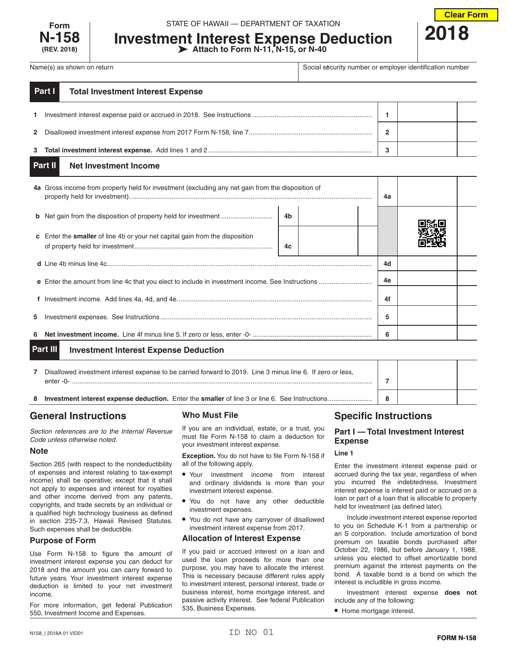

**Investment Interest Expense Deduction Attach to Form N-11, N-15, or N-40**



Name(s) as shown on return **Social security number or employer identification number** or employer identification number

| Part I<br><b>Total Investment Interest Expense</b> |   |  |
|----------------------------------------------------|---|--|
|                                                    |   |  |
|                                                    | ົ |  |
|                                                    |   |  |

#### **Net Investment Income Part II**

|                                                          | 4a Gross income from property held for investment (excluding any net gain from the disposition of |    |  | 4a |    |  |  |
|----------------------------------------------------------|---------------------------------------------------------------------------------------------------|----|--|----|----|--|--|
|                                                          | <b>b</b> Net gain from the disposition of property held for investment                            | 4b |  |    |    |  |  |
|                                                          | <b>c</b> Enter the <b>smaller</b> of line 4b or your net capital gain from the disposition        | 4c |  |    |    |  |  |
|                                                          |                                                                                                   |    |  |    | 4d |  |  |
|                                                          |                                                                                                   |    |  |    | 4e |  |  |
|                                                          |                                                                                                   |    |  |    | 4f |  |  |
| 5.                                                       |                                                                                                   |    |  |    | 5  |  |  |
| 6                                                        |                                                                                                   |    |  | 6  |    |  |  |
| Part III<br><b>Investment Interest Expense Deduction</b> |                                                                                                   |    |  |    |    |  |  |

| Disallowed investment interest expense to be carried forward to 2019. Line 3 minus line 6. If zero or less,<br>$enter -0-$ |   |  |
|----------------------------------------------------------------------------------------------------------------------------|---|--|
| <b>Investment interest expense deduction.</b> Enter the <b>smaller</b> of line 3 or line 6. See Instructions.              | 8 |  |

# **General Instructions**

*Section references are to the Internal Revenue Code unless otherwise noted.*

# **Note**

Section 265 (with respect to the nondeductibility of expenses and interest relating to tax-exempt income) shall be operative; except that it shall not apply to expenses and interest for royalties and other income derived from any patents, copyrights, and trade secrets by an individual or a qualified high technology business as defined in section 235-7.3, Hawaii Revised Statutes. Such expenses shall be deductible.

# **Purpose of Form**

Use Form N-158 to figure the amount of investment interest expense you can deduct for 2018 and the amount you can carry forward to future years. Your investment interest expense deduction is limited to your net investment income.

For more information, get federal Publication 550, Investment Income and Expenses.

# **Who Must File**

If you are an individual, estate, or a trust, you must file Form N-158 to claim a deduction for your investment interest expense.

**Exception.** You do not have to file Form N-158 if all of the following apply.

- Your investment income from interest and ordinary dividends is more than your investment interest expense.
- You do not have any other deductible investment expenses.
- You do not have any carryover of disallowed investment interest expense from 2017.

# **Allocation of Interest Expense**

If you paid or accrued interest on a loan and used the loan proceeds for more than one purpose, you may have to allocate the interest. This is necessary because different rules apply to investment interest, personal interest, trade or business interest, home mortgage interest, and passive activity interest. See federal Publication 535, Business Expenses.

# **Specific Instructions**

# **Part I — Total Investment Interest Expense**

### **Line 1**

Enter the investment interest expense paid or accrued during the tax year, regardless of when you incurred the indebtedness. Investment interest expense is interest paid or accrued on a loan or part of a loan that is allocable to property held for investment (as defined later).

Include investment interest expense reported to you on Schedule K-1 from a partnership or an S corporation. Include amortization of bond premium on taxable bonds purchased after October 22, 1986, but before January 1, 1988, unless you elected to offset amortizable bond premium against the interest payments on the bond. A taxable bond is a bond on which the interest is includible in gross income.

Investment interest expense **does not** include any of the following:

• Home mortgage interest.